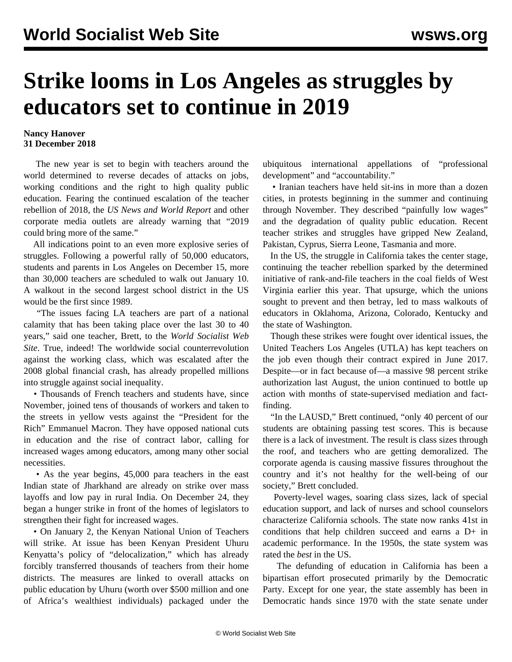## **Strike looms in Los Angeles as struggles by educators set to continue in 2019**

## **Nancy Hanover 31 December 2018**

 The new year is set to begin with teachers around the world determined to reverse decades of attacks on jobs, working conditions and the right to high quality public education. Fearing the continued escalation of the teacher rebellion of 2018, the *US News and World Report* and other corporate media outlets are already warning that "2019 could bring more of the same."

 All indications point to an even more explosive series of struggles. Following a powerful [rally](/en/articles/2018/12/17/teac-d17.html) of 50,000 educators, students and parents in Los Angeles on December 15, more than 30,000 teachers are scheduled to walk out January 10. A walkout in the second largest school district in the US would be the first since 1989.

 "The issues facing LA teachers are part of a national calamity that has been taking place over the last 30 to 40 years," said one teacher, Brett, to the *World Socialist Web Site*. True, indeed! The worldwide social counterrevolution against the working class, which was escalated after the 2008 global financial crash, has already propelled millions into struggle against social inequality.

 • Thousands of French teachers and students have, since November, joined tens of thousands of workers and taken to the streets in yellow vests against the "President for the Rich" Emmanuel Macron. They have [opposed](http://www5.wsws.org%20https) national cuts in education and the rise of contract labor, calling for increased wages among educators, among many other social necessities.

 • As the year begins, 45,000 para teachers in the east Indian state of Jharkhand are already on strike over mass layoffs and low pay in rural India. On December 24, they began a hunger strike in front of the homes of legislators to strengthen their fight for increased wages.

 • On January 2, the Kenyan National Union of Teachers will strike. At issue has been Kenyan President Uhuru Kenyatta's policy of "delocalization," which has already forcibly transferred thousands of teachers from their home districts. The measures are linked to overall attacks on public education by Uhuru (worth over \$500 million and one of Africa's wealthiest individuals) packaged under the ubiquitous international appellations of "professional development" and "accountability."

 • Iranian teachers have held sit-ins in more than a dozen cities, in protests beginning in the summer and continuing through November. They described "painfully low wages" and the degradation of quality public education. Recent teacher strikes and struggles have gripped New Zealand, Pakistan, Cyprus, Sierra Leone, Tasmania and more.

 In the US, the struggle in California takes the center stage, continuing the teacher rebellion sparked by the determined initiative of rank-and-file teachers in the coal fields of West Virginia earlier this year. That upsurge, which the unions sought to prevent and then betray, led to mass walkouts of educators in Oklahoma, Arizona, Colorado, Kentucky and the state of Washington.

 Though these strikes were fought over identical issues, the United Teachers Los Angeles (UTLA) has kept teachers on the job even though their contract expired in June 2017. Despite—or in fact because of—a massive 98 percent strike authorization last August, the union continued to bottle up action with months of state-supervised mediation and factfinding.

 "In the LAUSD," Brett continued, "only 40 percent of our students are obtaining passing test scores. This is because there is a lack of investment. The result is class sizes through the roof, and teachers who are getting demoralized. The corporate agenda is causing massive fissures throughout the country and it's not healthy for the well-being of our society," Brett concluded.

 Poverty-level wages, soaring class sizes, lack of special education support, and lack of nurses and school counselors characterize California schools. The state now ranks 41st in conditions that help children succeed and earns a D+ in academic performance. In the 1950s, the state system was rated the *best* in the US.

 The defunding of education in California has been a bipartisan effort prosecuted primarily by the Democratic Party. Except for one year, the state assembly has been in Democratic hands since 1970 with the state senate under